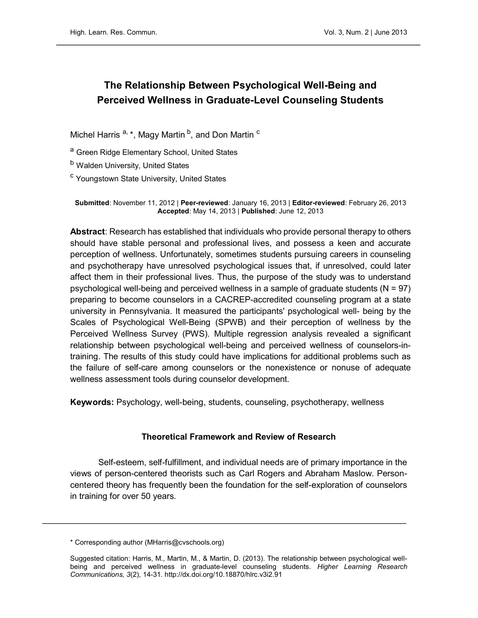# The Relationship Between Psychological Well-Being and Perceived Wellness in Graduate-Level Counseling Students

Michel Harris  $a, \star$ , Magy Martin  $b$ , and Don Martin  $c$ 

<sup>a</sup> Green Ridge Elementary School, United States

<sup>b</sup> Walden University, United States

<sup>c</sup> Youngstown State University, United States

Submitted: November 11, 2012 | Peer-reviewed: January 16, 2013 | Editor-reviewed: February 26, 2013 Accepted: May 14, 2013 | Published: June 12, 2013

Abstract: Research has established that individuals who provide personal therapy to others should have stable personal and professional lives, and possess a keen and accurate perception of wellness. Unfortunately, sometimes students pursuing careers in counseling and psychotherapy have unresolved psychological issues that, if unresolved, could later affect them in their professional lives. Thus, the purpose of the study was to understand psychological well-being and perceived wellness in a sample of graduate students  $(N = 97)$ preparing to become counselors in a CACREP-accredited counseling program at a state university in Pennsylvania. It measured the participants' psychological well- being by the Scales of Psychological Well-Being (SPWB) and their perception of wellness by the Perceived Wellness Survey (PWS). Multiple regression analysis revealed a significant relationship between psychological well-being and perceived wellness of counselors-intraining. The results of this study could have implications for additional problems such as the failure of self-care among counselors or the nonexistence or nonuse of adequate wellness assessment tools during counselor development.

Keywords: Psychology, well-being, students, counseling, psychotherapy, wellness

#### Theoretical Framework and Review of Research

Self-esteem, self-fulfillment, and individual needs are of primary importance in the views of person-centered theorists such as Carl Rogers and Abraham Maslow. Personcentered theory has frequently been the foundation for the self-exploration of counselors in training for over 50 years.

<sup>\*</sup> Corresponding author (MHarris@cvschools.org)

Suggested citation: Harris, M., Martin, M., & Martin, D. (2013). The relationship between psychological wellbeing and perceived wellness in graduate-level counseling students. Higher Learning Research Communications, 3(2), 14-31.<http://dx.doi.org/10.18870/hlrc.v3i2.91>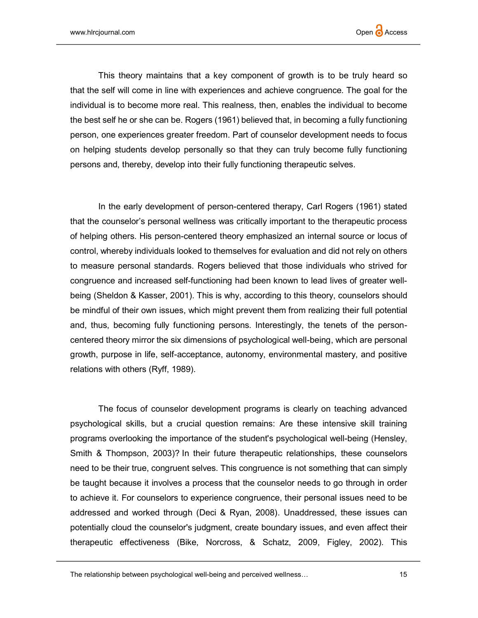This theory maintains that a key component of growth is to be truly heard so that the self will come in line with experiences and achieve congruence. The goal for the individual is to become more real. This realness, then, enables the individual to become the best self he or she can be. Rogers (1961) believed that, in becoming a fully functioning person, one experiences greater freedom. Part of counselor development needs to focus on helping students develop personally so that they can truly become fully functioning persons and, thereby, develop into their fully functioning therapeutic selves.

In the early development of person-centered therapy, Carl Rogers (1961) stated that the counselor's personal wellness was critically important to the therapeutic process of helping others. His person-centered theory emphasized an internal source or locus of control, whereby individuals looked to themselves for evaluation and did not rely on others to measure personal standards. Rogers believed that those individuals who strived for congruence and increased self-functioning had been known to lead lives of greater wellbeing (Sheldon & Kasser, 2001). This is why, according to this theory, counselors should be mindful of their own issues, which might prevent them from realizing their full potential and, thus, becoming fully functioning persons. Interestingly, the tenets of the personcentered theory mirror the six dimensions of psychological well-being, which are personal growth, purpose in life, self-acceptance, autonomy, environmental mastery, and positive relations with others (Ryff, 1989).

The focus of counselor development programs is clearly on teaching advanced psychological skills, but a crucial question remains: Are these intensive skill training programs overlooking the importance of the student's psychological well-being (Hensley, Smith & Thompson, 2003)? In their future therapeutic relationships, these counselors need to be their true, congruent selves. This congruence is not something that can simply be taught because it involves a process that the counselor needs to go through in order to achieve it. For counselors to experience congruence, their personal issues need to be addressed and worked through (Deci & Ryan, 2008). Unaddressed, these issues can potentially cloud the counselor's judgment, create boundary issues, and even affect their therapeutic effectiveness (Bike, Norcross, & Schatz, 2009, Figley, 2002). This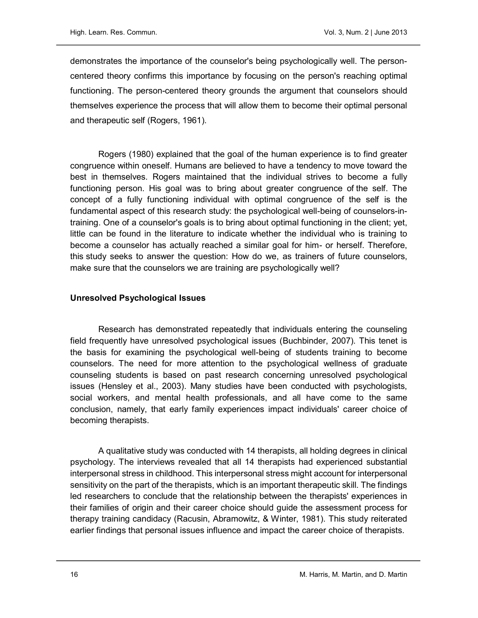demonstrates the importance of the counselor's being psychologically well. The personcentered theory confirms this importance by focusing on the person's reaching optimal functioning. The person-centered theory grounds the argument that counselors should themselves experience the process that will allow them to become their optimal personal and therapeutic self (Rogers, 1961).

Rogers (1980) explained that the goal of the human experience is to find greater congruence within oneself. Humans are believed to have a tendency to move toward the best in themselves. Rogers maintained that the individual strives to become a fully functioning person. His goal was to bring about greater congruence of the self. The concept of a fully functioning individual with optimal congruence of the self is the fundamental aspect of this research study: the psychological well-being of counselors-intraining. One of a counselor's goals is to bring about optimal functioning in the client; yet, little can be found in the literature to indicate whether the individual who is training to become a counselor has actually reached a similar goal for him- or herself. Therefore, this study seeks to answer the question: How do we, as trainers of future counselors, make sure that the counselors we are training are psychologically well?

## Unresolved Psychological Issues

Research has demonstrated repeatedly that individuals entering the counseling field frequently have unresolved psychological issues (Buchbinder, 2007). This tenet is the basis for examining the psychological well-being of students training to become counselors. The need for more attention to the psychological wellness of graduate counseling students is based on past research concerning unresolved psychological issues (Hensley et al., 2003). Many studies have been conducted with psychologists, social workers, and mental health professionals, and all have come to the same conclusion, namely, that early family experiences impact individuals' career choice of becoming therapists.

A qualitative study was conducted with 14 therapists, all holding degrees in clinical psychology. The interviews revealed that all 14 therapists had experienced substantial interpersonal stress in childhood. This interpersonal stress might account for interpersonal sensitivity on the part of the therapists, which is an important therapeutic skill. The findings led researchers to conclude that the relationship between the therapists' experiences in their families of origin and their career choice should guide the assessment process for therapy training candidacy (Racusin, Abramowitz, & Winter, 1981). This study reiterated earlier findings that personal issues influence and impact the career choice of therapists.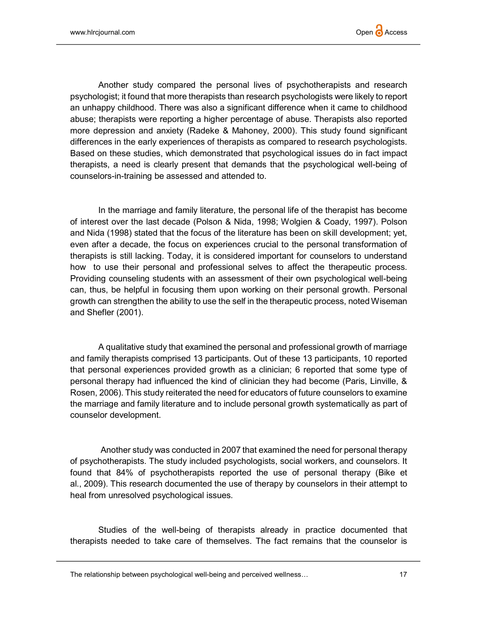Another study compared the personal lives of psychotherapists and research psychologist; it found that more therapists than research psychologists were likely to report an unhappy childhood. There was also a significant difference when it came to childhood abuse; therapists were reporting a higher percentage of abuse. Therapists also reported more depression and anxiety (Radeke & Mahoney, 2000). This study found significant differences in the early experiences of therapists as compared to research psychologists. Based on these studies, which demonstrated that psychological issues do in fact impact therapists, a need is clearly present that demands that the psychological well-being of counselors-in-training be assessed and attended to.

In the marriage and family literature, the personal life of the therapist has become of interest over the last decade (Polson & Nida, 1998; Wolgien & Coady, 1997). Polson and Nida (1998) stated that the focus of the literature has been on skill development; yet, even after a decade, the focus on experiences crucial to the personal transformation of therapists is still lacking. Today, it is considered important for counselors to understand how to use their personal and professional selves to affect the therapeutic process. Providing counseling students with an assessment of their own psychological well-being can, thus, be helpful in focusing them upon working on their personal growth. Personal growth can strengthen the ability to use the self in the therapeutic process, noted Wiseman and Shefler (2001).

A qualitative study that examined the personal and professional growth of marriage and family therapists comprised 13 participants. Out of these 13 participants, 10 reported that personal experiences provided growth as a clinician; 6 reported that some type of personal therapy had influenced the kind of clinician they had become (Paris, Linville, & Rosen, 2006). This study reiterated the need for educators of future counselors to examine the marriage and family literature and to include personal growth systematically as part of counselor development.

Another study was conducted in 2007 that examined the need for personal therapy of psychotherapists. The study included psychologists, social workers, and counselors. It found that 84% of psychotherapists reported the use of personal therapy (Bike et al., 2009). This research documented the use of therapy by counselors in their attempt to heal from unresolved psychological issues.

Studies of the well-being of therapists already in practice documented that therapists needed to take care of themselves. The fact remains that the counselor is

The relationship between psychological well-being and perceived wellness... 17 17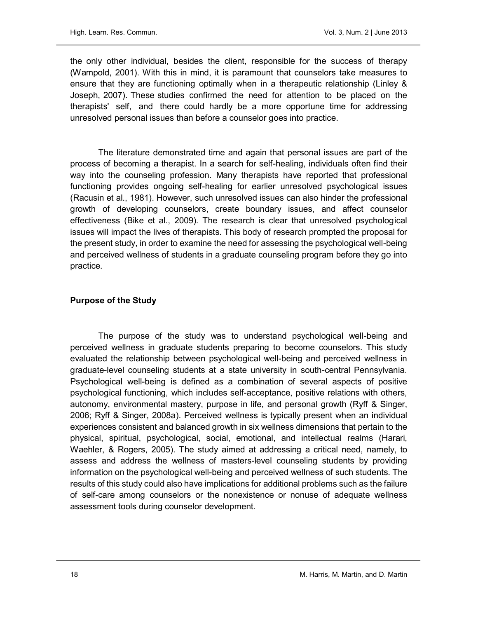the only other individual, besides the client, responsible for the success of therapy (Wampold, 2001). With this in mind, it is paramount that counselors take measures to ensure that they are functioning optimally when in a therapeutic relationship (Linley & Joseph, 2007). These studies confirmed the need for attention to be placed on the therapists' self, and there could hardly be a more opportune time for addressing unresolved personal issues than before a counselor goes into practice.

The literature demonstrated time and again that personal issues are part of the process of becoming a therapist. In a search for self-healing, individuals often find their way into the counseling profession. Many therapists have reported that professional functioning provides ongoing self-healing for earlier unresolved psychological issues (Racusin et al., 1981). However, such unresolved issues can also hinder the professional growth of developing counselors, create boundary issues, and affect counselor effectiveness (Bike et al., 2009). The research is clear that unresolved psychological issues will impact the lives of therapists. This body of research prompted the proposal for the present study, in order to examine the need for assessing the psychological well-being and perceived wellness of students in a graduate counseling program before they go into practice.

## Purpose of the Study

The purpose of the study was to understand psychological well-being and perceived wellness in graduate students preparing to become counselors. This study evaluated the relationship between psychological well-being and perceived wellness in graduate-level counseling students at a state university in south-central Pennsylvania. Psychological well-being is defined as a combination of several aspects of positive psychological functioning, which includes self-acceptance, positive relations with others, autonomy, environmental mastery, purpose in life, and personal growth (Ryff & Singer, 2006; Ryff & Singer, 2008a). Perceived wellness is typically present when an individual experiences consistent and balanced growth in six wellness dimensions that pertain to the physical, spiritual, psychological, social, emotional, and intellectual realms (Harari, Waehler, & Rogers, 2005). The study aimed at addressing a critical need, namely, to assess and address the wellness of masters-level counseling students by providing information on the psychological well-being and perceived wellness of such students. The results of this study could also have implications for additional problems such as the failure of self-care among counselors or the nonexistence or nonuse of adequate wellness assessment tools during counselor development.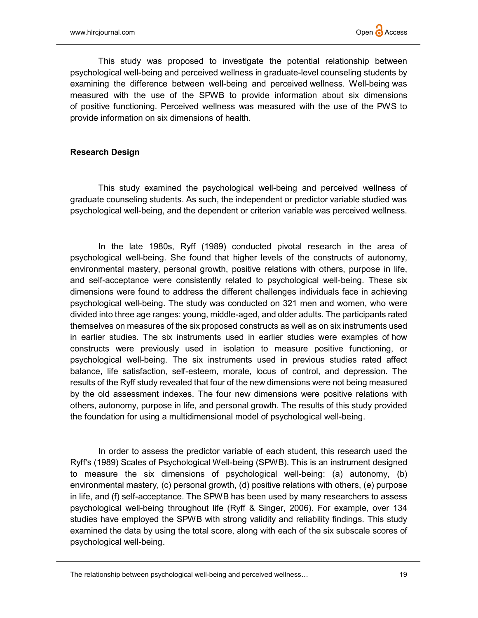This study was proposed to investigate the potential relationship between psychological well-being and perceived wellness in graduate-level counseling students by examining the difference between well-being and perceived wellness. Well-being was measured with the use of the SPWB to provide information about six dimensions of positive functioning. Perceived wellness was measured with the use of the PWS to provide information on six dimensions of health.

# Research Design

This study examined the psychological well-being and perceived wellness of graduate counseling students. As such, the independent or predictor variable studied was psychological well-being, and the dependent or criterion variable was perceived wellness.

In the late 1980s, Ryff (1989) conducted pivotal research in the area of psychological well-being. She found that higher levels of the constructs of autonomy, environmental mastery, personal growth, positive relations with others, purpose in life, and self-acceptance were consistently related to psychological well-being. These six dimensions were found to address the different challenges individuals face in achieving psychological well-being. The study was conducted on 321 men and women, who were divided into three age ranges: young, middle-aged, and older adults. The participants rated themselves on measures of the six proposed constructs as well as on six instruments used in earlier studies. The six instruments used in earlier studies were examples of how constructs were previously used in isolation to measure positive functioning, or psychological well-being. The six instruments used in previous studies rated affect balance, life satisfaction, self-esteem, morale, locus of control, and depression. The results of the Ryff study revealed that four of the new dimensions were not being measured by the old assessment indexes. The four new dimensions were positive relations with others, autonomy, purpose in life, and personal growth. The results of this study provided the foundation for using a multidimensional model of psychological well-being.

In order to assess the predictor variable of each student, this research used the Ryff's (1989) Scales of Psychological Well-being (SPWB). This is an instrument designed to measure the six dimensions of psychological well-being: (a) autonomy, (b) environmental mastery, (c) personal growth, (d) positive relations with others, (e) purpose in life, and (f) self-acceptance. The SPWB has been used by many researchers to assess psychological well-being throughout life (Ryff & Singer, 2006). For example, over 134 studies have employed the SPWB with strong validity and reliability findings. This study examined the data by using the total score, along with each of the six subscale scores of psychological well-being.

The relationship between psychological well-being and perceived wellness... The relationship between psychological well-being and perceived wellness...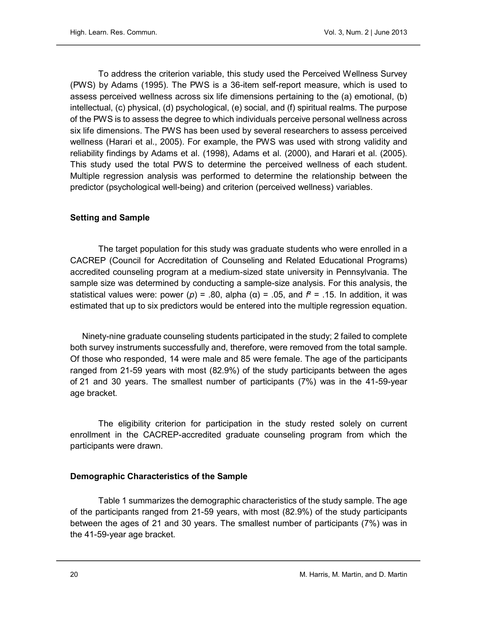To address the criterion variable, this study used the Perceived Wellness Survey (PWS) by Adams (1995). The PWS is a 36-item self-report measure, which is used to assess perceived wellness across six life dimensions pertaining to the (a) emotional, (b) intellectual, (c) physical, (d) psychological, (e) social, and (f) spiritual realms. The purpose of the PWS is to assess the degree to which individuals perceive personal wellness across six life dimensions. The PWS has been used by several researchers to assess perceived wellness (Harari et al., 2005). For example, the PWS was used with strong validity and reliability findings by Adams et al. (1998), Adams et al. (2000), and Harari et al. (2005). This study used the total PWS to determine the perceived wellness of each student. Multiple regression analysis was performed to determine the relationship between the predictor (psychological well-being) and criterion (perceived wellness) variables.

# Setting and Sample

The target population for this study was graduate students who were enrolled in a CACREP (Council for Accreditation of Counseling and Related Educational Programs) accredited counseling program at a medium-sized state university in Pennsylvania. The sample size was determined by conducting a sample-size analysis. For this analysis, the statistical values were: power (*p*) = .80, alpha (α) = .05, and  $f^2$  = .15. In addition, it was estimated that up to six predictors would be entered into the multiple regression equation.

Ninety-nine graduate counseling students participated in the study; 2 failed to complete both survey instruments successfully and, therefore, were removed from the total sample. Of those who responded, 14 were male and 85 were female. The age of the participants ranged from 21-59 years with most (82.9%) of the study participants between the ages of 21 and 30 years. The smallest number of participants (7%) was in the 41-59-year age bracket.

The eligibility criterion for participation in the study rested solely on current enrollment in the CACREP-accredited graduate counseling program from which the participants were drawn.

#### Demographic Characteristics of the Sample

Table 1 summarizes the demographic characteristics of the study sample. The age of the participants ranged from 21-59 years, with most (82.9%) of the study participants between the ages of 21 and 30 years. The smallest number of participants (7%) was in the 41-59-year age bracket.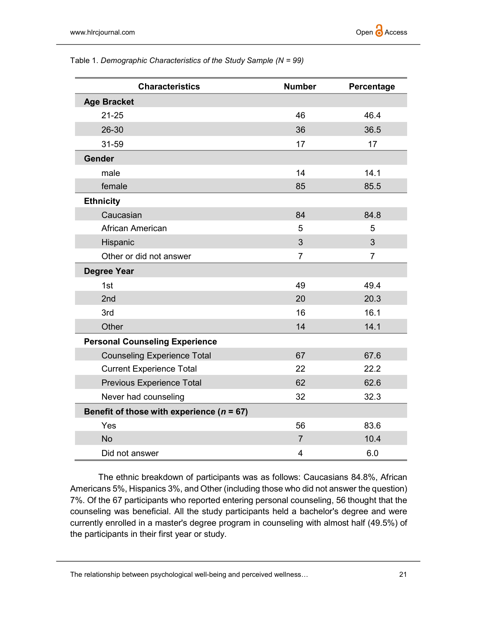| <b>Characteristics</b>                        | <b>Number</b>  | Percentage     |
|-----------------------------------------------|----------------|----------------|
| <b>Age Bracket</b>                            |                |                |
| $21 - 25$                                     | 46             | 46.4           |
| 26-30                                         | 36             | 36.5           |
| 31-59                                         | 17             | 17             |
| Gender                                        |                |                |
| male                                          | 14             | 14.1           |
| female                                        | 85             | 85.5           |
| <b>Ethnicity</b>                              |                |                |
| Caucasian                                     | 84             | 84.8           |
| African American                              | 5              | 5              |
| Hispanic                                      | $\overline{3}$ | $\overline{3}$ |
| Other or did not answer                       | $\overline{7}$ | $\overline{7}$ |
| <b>Degree Year</b>                            |                |                |
| 1st                                           | 49             | 49.4           |
| 2 <sub>nd</sub>                               | 20             | 20.3           |
| 3rd                                           | 16             | 16.1           |
| Other                                         | 14             | 14.1           |
| <b>Personal Counseling Experience</b>         |                |                |
| <b>Counseling Experience Total</b>            | 67             | 67.6           |
| <b>Current Experience Total</b>               | 22             | 22.2           |
| <b>Previous Experience Total</b>              | 62             | 62.6           |
| Never had counseling                          | 32             | 32.3           |
| Benefit of those with experience ( $n = 67$ ) |                |                |
| Yes                                           | 56             | 83.6           |
| <b>No</b>                                     | $\overline{7}$ | 10.4           |
| Did not answer                                | 4              | 6.0            |

Table 1. Demographic Characteristics of the Study Sample (N = 99)

The ethnic breakdown of participants was as follows: Caucasians 84.8%, African Americans 5%, Hispanics 3%, and Other (including those who did not answer the question) 7%. Of the 67 participants who reported entering personal counseling, 56 thought that the counseling was beneficial. All the study participants held a bachelor's degree and were currently enrolled in a master's degree program in counseling with almost half (49.5%) of the participants in their first year or study.

The relationship between psychological well-being and perceived wellness… 21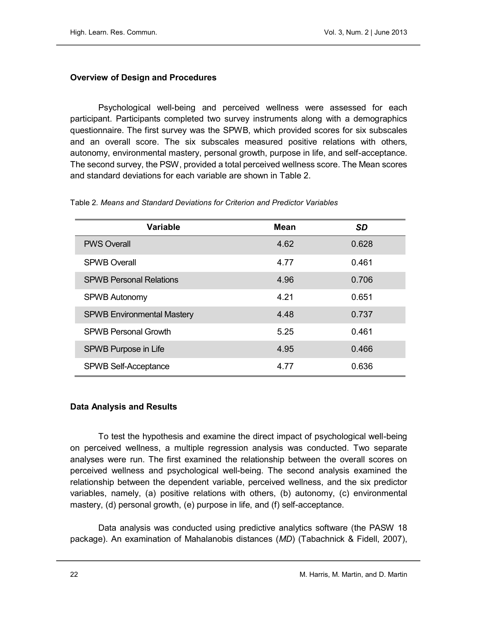# Overview of Design and Procedures

Psychological well-being and perceived wellness were assessed for each participant. Participants completed two survey instruments along with a demographics questionnaire. The first survey was the SPWB, which provided scores for six subscales and an overall score. The six subscales measured positive relations with others, autonomy, environmental mastery, personal growth, purpose in life, and self-acceptance. The second survey, the PSW, provided a total perceived wellness score. The Mean scores and standard deviations for each variable are shown in Table 2.

| <b>Variable</b>                   | Mean | <b>SD</b> |
|-----------------------------------|------|-----------|
| <b>PWS Overall</b>                | 4.62 | 0.628     |
| <b>SPWB Overall</b>               | 4.77 | 0.461     |
| <b>SPWB Personal Relations</b>    | 4.96 | 0.706     |
| <b>SPWB Autonomy</b>              | 4.21 | 0.651     |
| <b>SPWB Environmental Mastery</b> | 4.48 | 0.737     |
| <b>SPWB Personal Growth</b>       | 5.25 | 0.461     |
| SPWB Purpose in Life              | 4.95 | 0.466     |
| <b>SPWB Self-Acceptance</b>       | 4.77 | 0.636     |

Table 2. Means and Standard Deviations for Criterion and Predictor Variables

# Data Analysis and Results

To test the hypothesis and examine the direct impact of psychological well-being on perceived wellness, a multiple regression analysis was conducted. Two separate analyses were run. The first examined the relationship between the overall scores on perceived wellness and psychological well-being. The second analysis examined the relationship between the dependent variable, perceived wellness, and the six predictor variables, namely, (a) positive relations with others, (b) autonomy, (c) environmental mastery, (d) personal growth, (e) purpose in life, and (f) self-acceptance.

Data analysis was conducted using predictive analytics software (the PASW 18 package). An examination of Mahalanobis distances (MD) (Tabachnick & Fidell, 2007),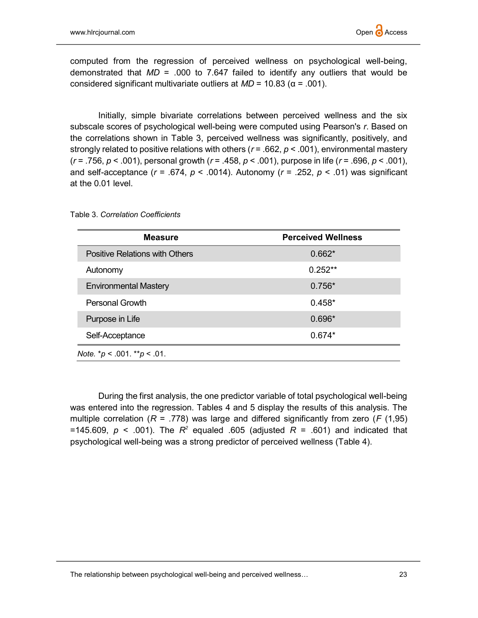computed from the regression of perceived wellness on psychological well-being, demonstrated that  $MD = 0.00$  to 7.647 failed to identify any outliers that would be considered significant multivariate outliers at  $MD = 10.83$  ( $\alpha = .001$ ).

Initially, simple bivariate correlations between perceived wellness and the six subscale scores of psychological well-being were computed using Pearson's r. Based on the correlations shown in Table 3, perceived wellness was significantly, positively, and strongly related to positive relations with others ( $r = .662$ ,  $p < .001$ ), environmental mastery  $(r = .756, p < .001)$ , personal growth  $(r = .458, p < .001)$ , purpose in life  $(r = .696, p < .001)$ , and self-acceptance ( $r = .674$ ,  $p < .0014$ ). Autonomy ( $r = .252$ ,  $p < .01$ ) was significant at the 0.01 level.

| <b>Measure</b>                      | <b>Perceived Wellness</b> |
|-------------------------------------|---------------------------|
| Positive Relations with Others      | $0.662*$                  |
| Autonomy                            | $0.252**$                 |
| <b>Environmental Mastery</b>        | $0.756*$                  |
| Personal Growth                     | $0.458*$                  |
| Purpose in Life                     | $0.696*$                  |
| Self-Acceptance                     | $0.674*$                  |
| Note. * $p < .001$ . ** $p < .01$ . |                           |

Table 3. Correlation Coefficients

During the first analysis, the one predictor variable of total psychological well-being was entered into the regression. Tables 4 and 5 display the results of this analysis. The multiple correlation ( $R = .778$ ) was large and differed significantly from zero ( $F(1,95)$ ) =145.609,  $p \leq 0.001$ ). The  $R^2$  equaled .605 (adjusted  $R = 0.601$ ) and indicated that psychological well-being was a strong predictor of perceived wellness (Table 4).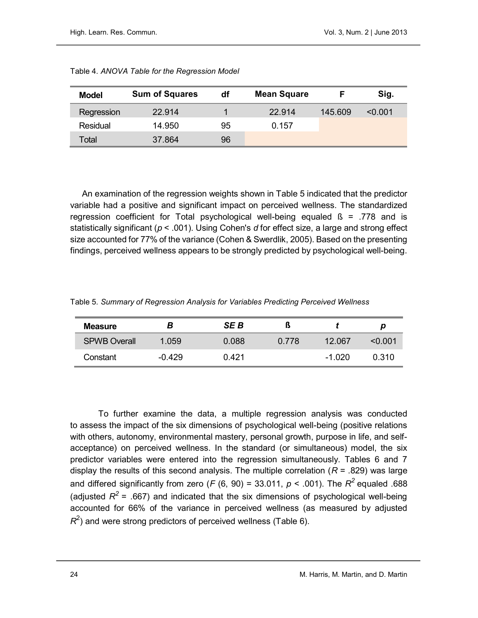| Model      | <b>Sum of Squares</b> | df | <b>Mean Square</b> |         | Sig.    |
|------------|-----------------------|----|--------------------|---------|---------|
| Regression | 22.914                |    | 22.914             | 145,609 | < 0.001 |
| Residual   | 14.950                | 95 | 0.157              |         |         |
| Total      | 37.864                | 96 |                    |         |         |

Table 4. ANOVA Table for the Regression Model

An examination of the regression weights shown in Table 5 indicated that the predictor variable had a positive and significant impact on perceived wellness. The standardized regression coefficient for Total psychological well-being equaled  $\beta$  = .778 and is statistically significant ( $p < .001$ ). Using Cohen's d for effect size, a large and strong effect size accounted for 77% of the variance (Cohen & Swerdlik, 2005). Based on the presenting findings, perceived wellness appears to be strongly predicted by psychological well-being.

| Table 5. Summary of Regression Analysis for Variables Predicting Perceived Wellness |  |
|-------------------------------------------------------------------------------------|--|
|-------------------------------------------------------------------------------------|--|

| <b>Measure</b>      | в        | SE B  |       |          | p      |
|---------------------|----------|-------|-------|----------|--------|
| <b>SPWB Overall</b> | 1.059    | 0.088 | 0.778 | 12.067   | <ດ ດດ1 |
| Constant            | $-0.429$ | 0.421 |       | $-1.020$ | 0.310  |

To further examine the data, a multiple regression analysis was conducted to assess the impact of the six dimensions of psychological well-being (positive relations with others, autonomy, environmental mastery, personal growth, purpose in life, and selfacceptance) on perceived wellness. In the standard (or simultaneous) model, the six predictor variables were entered into the regression simultaneously. Tables 6 and 7 display the results of this second analysis. The multiple correlation ( $R = .829$ ) was large and differed significantly from zero (F (6, 90) = 33.011,  $p <$  .001). The  $R^2$  equaled .688 (adjusted  $R^2$  = .667) and indicated that the six dimensions of psychological well-being accounted for 66% of the variance in perceived wellness (as measured by adjusted  $R^2$ ) and were strong predictors of perceived wellness (Table 6).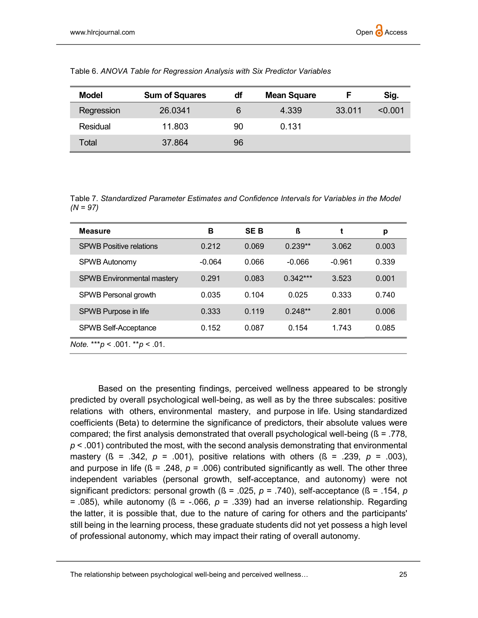| <b>Model</b> | <b>Sum of Squares</b> | df | <b>Mean Square</b> |        | Sig.    |
|--------------|-----------------------|----|--------------------|--------|---------|
| Regression   | 26.0341               | 6  | 4.339              | 33.011 | < 0.001 |
| Residual     | 11.803                | 90 | 0.131              |        |         |
| Total        | 37.864                | 96 |                    |        |         |

Table 6. ANOVA Table for Regression Analysis with Six Predictor Variables

Table 7. Standardized Parameter Estimates and Confidence Intervals for Variables in the Model  $(N = 97)$ 

| <b>Measure</b>                        | в        | <b>SEB</b> | ß          | t        | р     |
|---------------------------------------|----------|------------|------------|----------|-------|
| <b>SPWB Positive relations</b>        | 0.212    | 0.069      | $0.239**$  | 3.062    | 0.003 |
| <b>SPWB Autonomy</b>                  | $-0.064$ | 0.066      | $-0.066$   | $-0.961$ | 0.339 |
| <b>SPWB Environmental mastery</b>     | 0.291    | 0.083      | $0.342***$ | 3.523    | 0.001 |
| SPWB Personal growth                  | 0.035    | 0.104      | 0.025      | 0.333    | 0.740 |
| SPWB Purpose in life                  | 0.333    | 0.119      | $0.248**$  | 2.801    | 0.006 |
| <b>SPWB Self-Acceptance</b>           | 0.152    | 0.087      | 0.154      | 1.743    | 0.085 |
| Note. *** $p < .001$ . ** $p < .01$ . |          |            |            |          |       |

Based on the presenting findings, perceived wellness appeared to be strongly predicted by overall psychological well-being, as well as by the three subscales: positive relations with others, environmental mastery, and purpose in life. Using standardized coefficients (Beta) to determine the significance of predictors, their absolute values were compared; the first analysis demonstrated that overall psychological well-being  $(S = .778, )$  $p$  < .001) contributed the most, with the second analysis demonstrating that environmental mastery ( $\beta$  = .342,  $p$  = .001), positive relations with others ( $\beta$  = .239,  $p$  = .003), and purpose in life ( $\beta$  = .248,  $p$  = .006) contributed significantly as well. The other three independent variables (personal growth, self-acceptance, and autonomy) were not significant predictors: personal growth ( $\beta$  = .025, p = .740), self-acceptance ( $\beta$  = .154, p = .085), while autonomy ( $\beta$  = -.066,  $p$  = .339) had an inverse relationship. Regarding the latter, it is possible that, due to the nature of caring for others and the participants' still being in the learning process, these graduate students did not yet possess a high level of professional autonomy, which may impact their rating of overall autonomy.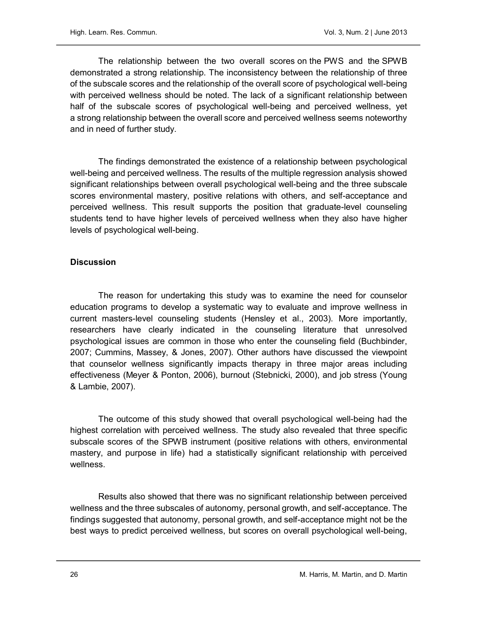The relationship between the two overall scores on the PWS and the SPWB demonstrated a strong relationship. The inconsistency between the relationship of three of the subscale scores and the relationship of the overall score of psychological well-being with perceived wellness should be noted. The lack of a significant relationship between half of the subscale scores of psychological well-being and perceived wellness, yet a strong relationship between the overall score and perceived wellness seems noteworthy and in need of further study.

The findings demonstrated the existence of a relationship between psychological well-being and perceived wellness. The results of the multiple regression analysis showed significant relationships between overall psychological well-being and the three subscale scores environmental mastery, positive relations with others, and self-acceptance and perceived wellness. This result supports the position that graduate-level counseling students tend to have higher levels of perceived wellness when they also have higher levels of psychological well-being.

# **Discussion**

The reason for undertaking this study was to examine the need for counselor education programs to develop a systematic way to evaluate and improve wellness in current masters-level counseling students (Hensley et al., 2003). More importantly, researchers have clearly indicated in the counseling literature that unresolved psychological issues are common in those who enter the counseling field (Buchbinder, 2007; Cummins, Massey, & Jones, 2007). Other authors have discussed the viewpoint that counselor wellness significantly impacts therapy in three major areas including effectiveness (Meyer & Ponton, 2006), burnout (Stebnicki, 2000), and job stress (Young & Lambie, 2007).

The outcome of this study showed that overall psychological well-being had the highest correlation with perceived wellness. The study also revealed that three specific subscale scores of the SPWB instrument (positive relations with others, environmental mastery, and purpose in life) had a statistically significant relationship with perceived wellness.

Results also showed that there was no significant relationship between perceived wellness and the three subscales of autonomy, personal growth, and self-acceptance. The findings suggested that autonomy, personal growth, and self-acceptance might not be the best ways to predict perceived wellness, but scores on overall psychological well-being,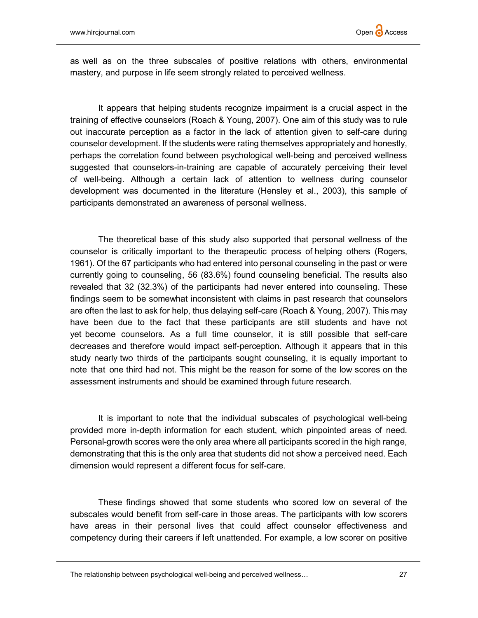as well as on the three subscales of positive relations with others, environmental mastery, and purpose in life seem strongly related to perceived wellness.

It appears that helping students recognize impairment is a crucial aspect in the training of effective counselors (Roach & Young, 2007). One aim of this study was to rule out inaccurate perception as a factor in the lack of attention given to self-care during counselor development. If the students were rating themselves appropriately and honestly, perhaps the correlation found between psychological well-being and perceived wellness suggested that counselors-in-training are capable of accurately perceiving their level of well-being. Although a certain lack of attention to wellness during counselor development was documented in the literature (Hensley et al., 2003), this sample of participants demonstrated an awareness of personal wellness.

The theoretical base of this study also supported that personal wellness of the counselor is critically important to the therapeutic process of helping others (Rogers, 1961). Of the 67 participants who had entered into personal counseling in the past or were currently going to counseling, 56 (83.6%) found counseling beneficial. The results also revealed that 32 (32.3%) of the participants had never entered into counseling. These findings seem to be somewhat inconsistent with claims in past research that counselors are often the last to ask for help, thus delaying self-care (Roach & Young, 2007). This may have been due to the fact that these participants are still students and have not yet become counselors. As a full time counselor, it is still possible that self-care decreases and therefore would impact self-perception. Although it appears that in this study nearly two thirds of the participants sought counseling, it is equally important to note that one third had not. This might be the reason for some of the low scores on the assessment instruments and should be examined through future research.

It is important to note that the individual subscales of psychological well-being provided more in-depth information for each student, which pinpointed areas of need. Personal-growth scores were the only area where all participants scored in the high range, demonstrating that this is the only area that students did not show a perceived need. Each dimension would represent a different focus for self-care.

These findings showed that some students who scored low on several of the subscales would benefit from self-care in those areas. The participants with low scorers have areas in their personal lives that could affect counselor effectiveness and competency during their careers if left unattended. For example, a low scorer on positive

The relationship between psychological well-being and perceived wellness… 27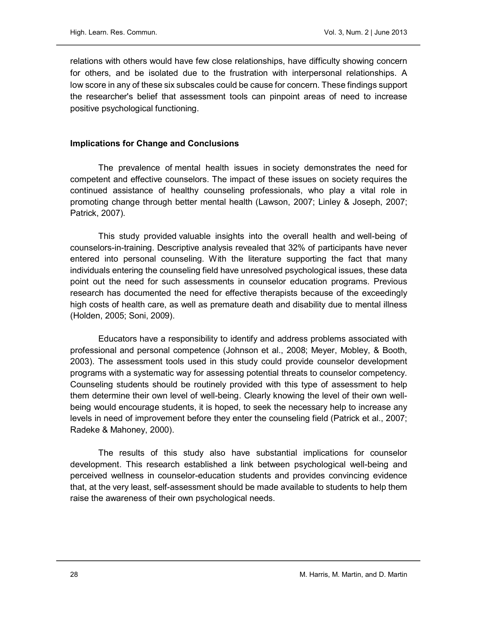relations with others would have few close relationships, have difficulty showing concern for others, and be isolated due to the frustration with interpersonal relationships. A low score in any of these six subscales could be cause for concern. These findings support the researcher's belief that assessment tools can pinpoint areas of need to increase positive psychological functioning.

# Implications for Change and Conclusions

The prevalence of mental health issues in society demonstrates the need for competent and effective counselors. The impact of these issues on society requires the continued assistance of healthy counseling professionals, who play a vital role in promoting change through better mental health (Lawson, 2007; Linley & Joseph, 2007; Patrick, 2007).

This study provided valuable insights into the overall health and well-being of counselors-in-training. Descriptive analysis revealed that 32% of participants have never entered into personal counseling. With the literature supporting the fact that many individuals entering the counseling field have unresolved psychological issues, these data point out the need for such assessments in counselor education programs. Previous research has documented the need for effective therapists because of the exceedingly high costs of health care, as well as premature death and disability due to mental illness (Holden, 2005; Soni, 2009).

Educators have a responsibility to identify and address problems associated with professional and personal competence (Johnson et al., 2008; Meyer, Mobley, & Booth, 2003). The assessment tools used in this study could provide counselor development programs with a systematic way for assessing potential threats to counselor competency. Counseling students should be routinely provided with this type of assessment to help them determine their own level of well-being. Clearly knowing the level of their own wellbeing would encourage students, it is hoped, to seek the necessary help to increase any levels in need of improvement before they enter the counseling field (Patrick et al., 2007; Radeke & Mahoney, 2000).

The results of this study also have substantial implications for counselor development. This research established a link between psychological well-being and perceived wellness in counselor-education students and provides convincing evidence that, at the very least, self-assessment should be made available to students to help them raise the awareness of their own psychological needs.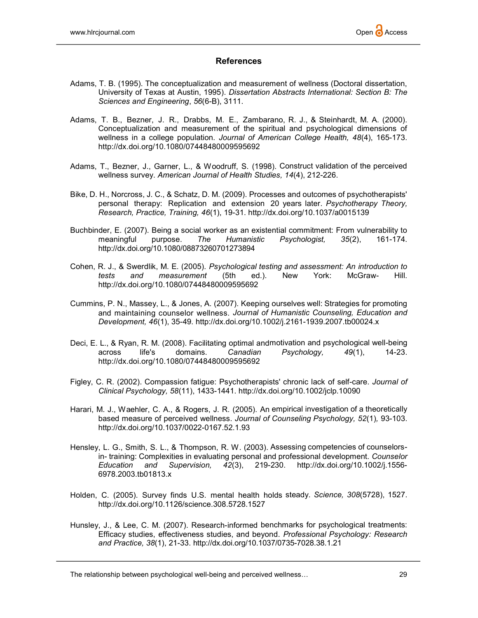#### **References**

- Adams, T. B. (1995). The conceptualization and measurement of wellness (Doctoral dissertation, University of Texas at Austin, 1995). Dissertation Abstracts International: Section B: The Sciences and Engineering, 56(6-B), 3111.
- Adams, T. B., Bezner, J. R., Drabbs, M. E., Zambarano, R. J., & Steinhardt, M. A. (2000). Conceptualization and measurement of the spiritual and psychological dimensions of wellness in a college population. Journal of American College Health, 48(4), 165-173. http://dx.doi.org/10.1080/07448480009595692
- Adams, T., Bezner, J., Garner, L., & Woodruff, S. (1998). Construct validation of the perceived wellness survey. American Journal of Health Studies, 14(4), 212-226.
- Bike, D. H., Norcross, J. C., & Schatz, D. M. (2009). Processes and outcomes of psychotherapists' personal therapy: Replication and extension 20 years later. Psychotherapy Theory, Research, Practice, Training, 46(1), 19-31. http://dx.doi.org/10.1037/a0015139
- Buchbinder, E. (2007). Being a social worker as an existential commitment: From vulnerability to meaningful purpose. The Humanistic Psychologist, 35(2), 161-174. http://dx.doi.org/10.1080/08873260701273894
- Cohen, R. J., & Swerdlik, M. E. (2005). Psychological testing and assessment: An introduction to tests and measurement (5th ed.). New York: McGraw- Hill. http://dx.doi.org/10.1080/07448480009595692
- Cummins, P. N., Massey, L., & Jones, A. (2007). Keeping ourselves well: Strategies for promoting and maintaining counselor wellness. Journal of Humanistic Counseling, Education and Development, 46(1), 35-49. http://dx.doi.org/10.1002/j.2161-1939.2007.tb00024.x
- Deci, E. L., & Ryan, R. M. (2008). Facilitating optimal andmotivation and psychological well-being across life's domains. Canadian Psychology, 49(1), 14-23. http://dx.doi.org/10.1080/07448480009595692
- Figley, C. R. (2002). Compassion fatigue: Psychotherapists' chronic lack of self-care. Journal of Clinical Psychology, 58(11), 1433-1441. http://dx.doi.org/10.1002/jclp.10090
- Harari, M. J., Waehler, C. A., & Rogers, J. R. (2005). An empirical investigation of a theoretically based measure of perceived wellness. Journal of Counseling Psychology, 52(1), 93-103. http://dx.doi.org/10.1037/0022-0167.52.1.93
- Hensley, L. G., Smith, S. L., & Thompson, R. W. (2003). Assessing competencies of counselorsin- training: Complexities in evaluating personal and professional development. Counselor Education and Supervision, 42(3), 219-230. http://dx.doi.org/10.1002/j.1556- 6978.2003.tb01813.x
- Holden, C. (2005). Survey finds U.S. mental health holds steady. Science, 308(5728), 1527. http://dx.doi.org/10.1126/science.308.5728.1527
- Hunsley, J., & Lee, C. M. (2007). Research-informed benchmarks for psychological treatments: Efficacy studies, effectiveness studies, and beyond. Professional Psychology: Research and Practice, 38(1), 21-33. http://dx.doi.org/10.1037/0735-7028.38.1.21

The relationship between psychological well-being and perceived wellness… 29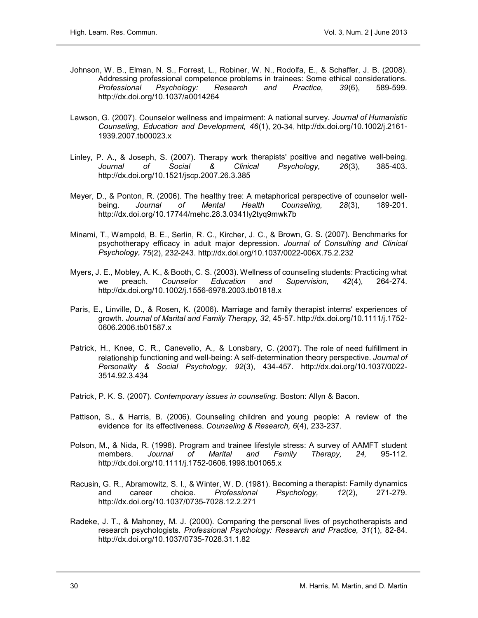- Johnson, W. B., Elman, N. S., Forrest, L., Robiner, W. N., Rodolfa, E., & Schaffer, J. B. (2008). Addressing professional competence problems in trainees: Some ethical considerations. Professional Psychology: Research and Practice, 39(6), 589-599. http://dx.doi.org/10.1037/a0014264
- Lawson, G. (2007). Counselor wellness and impairment: A national survey. Journal of Humanistic Counseling, Education and Development, 46(1), 20-34. http://dx.doi.org/10.1002/j.2161- 1939.2007.tb00023.x
- Linley, P. A., & Joseph, S. (2007). Therapy work therapists' positive and negative well-being. Journal of Social & Clinical Psychology, 26(3), 385-403. http://dx.doi.org/10.1521/jscp.2007.26.3.385
- Meyer, D., & Ponton, R. (2006). The healthy tree: A metaphorical perspective of counselor wellbeing. Journal of Mental Health Counseling, 28(3), 189-201. http://dx.doi.org/10.17744/mehc.28.3.0341ly2tyq9mwk7b
- Minami, T., Wampold, B. E., Serlin, R. C., Kircher, J. C., & Brown, G. S. (2007). Benchmarks for psychotherapy efficacy in adult major depression. Journal of Consulting and Clinical Psychology, 75(2), 232-243. http://dx.doi.org/10.1037/0022-006X.75.2.232
- Myers, J. E., Mobley, A. K., & Booth, C. S. (2003). Wellness of counseling students: Practicing what we preach. Counselor Education and Supervision, 42(4), 264-274. http://dx.doi.org/10.1002/j.1556-6978.2003.tb01818.x
- Paris, E., Linville, D., & Rosen, K. (2006). Marriage and family therapist interns' experiences of growth. Journal of Marital and Family Therapy, 32, 45-57. http://dx.doi.org/10.1111/j.1752- 0606.2006.tb01587.x
- Patrick, H., Knee, C. R., Canevello, A., & Lonsbary, C. (2007). The role of need fulfillment in relationship functioning and well-being: A self-determination theory perspective. Journal of Personality & Social Psychology, 92(3), 434-457. http://dx.doi.org/10.1037/0022- 3514.92.3.434
- Patrick, P. K. S. (2007). Contemporary issues in counseling. Boston: Allyn & Bacon.
- Pattison, S., & Harris, B. (2006). Counseling children and young people: A review of the evidence for its effectiveness. Counseling & Research, 6(4), 233-237.
- Polson, M., & Nida, R. (1998). Program and trainee lifestyle stress: A survey of AAMFT student members. Journal of Marital and Family Therapy, 24, 95-112. http://dx.doi.org/10.1111/j.1752-0606.1998.tb01065.x
- Racusin, G. R., Abramowitz, S. I., & Winter, W. D. (1981). Becoming a therapist: Family dynamics and career choice. Professional Psychology, 12(2), 271-279. http://dx.doi.org/10.1037/0735-7028.12.2.271
- Radeke, J. T., & Mahoney, M. J. (2000). Comparing the personal lives of psychotherapists and research psychologists. Professional Psychology: Research and Practice, 31(1), 82-84. http://dx.doi.org/10.1037/0735-7028.31.1.82